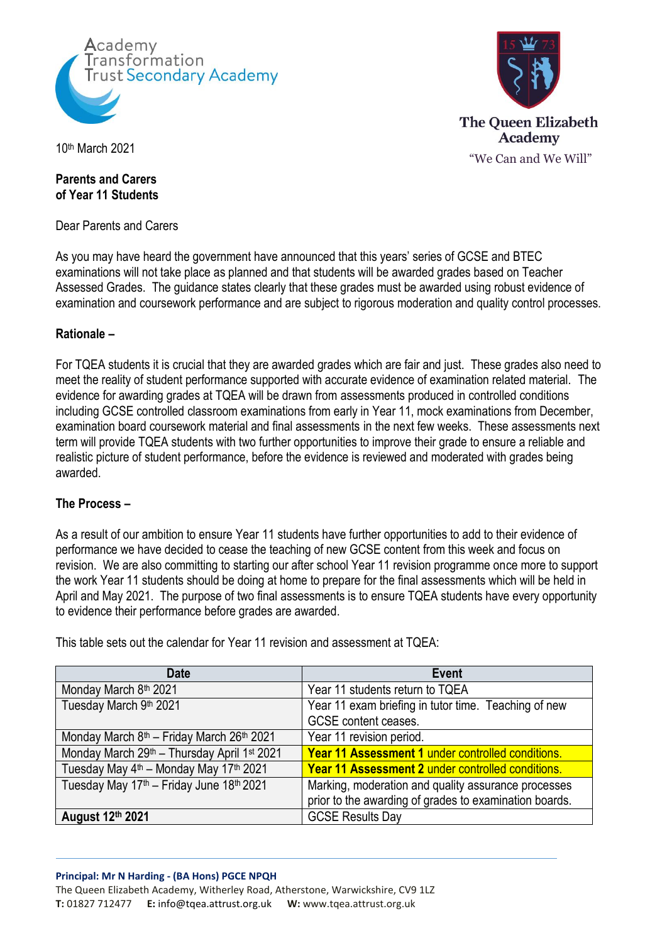



10th March 2021

## **Parents and Carers of Year 11 Students**

Dear Parents and Carers

As you may have heard the government have announced that this years' series of GCSE and BTEC examinations will not take place as planned and that students will be awarded grades based on Teacher Assessed Grades. The guidance states clearly that these grades must be awarded using robust evidence of examination and coursework performance and are subject to rigorous moderation and quality control processes.

## **Rationale –**

For TQEA students it is crucial that they are awarded grades which are fair and just. These grades also need to meet the reality of student performance supported with accurate evidence of examination related material. The evidence for awarding grades at TQEA will be drawn from assessments produced in controlled conditions including GCSE controlled classroom examinations from early in Year 11, mock examinations from December, examination board coursework material and final assessments in the next few weeks. These assessments next term will provide TQEA students with two further opportunities to improve their grade to ensure a reliable and realistic picture of student performance, before the evidence is reviewed and moderated with grades being awarded.

# **The Process –**

As a result of our ambition to ensure Year 11 students have further opportunities to add to their evidence of performance we have decided to cease the teaching of new GCSE content from this week and focus on revision. We are also committing to starting our after school Year 11 revision programme once more to support the work Year 11 students should be doing at home to prepare for the final assessments which will be held in April and May 2021. The purpose of two final assessments is to ensure TQEA students have every opportunity to evidence their performance before grades are awarded.

| <b>Date</b>                                                       | Event                                                  |
|-------------------------------------------------------------------|--------------------------------------------------------|
| Monday March 8th 2021                                             | Year 11 students return to TQEA                        |
| Tuesday March 9th 2021                                            | Year 11 exam briefing in tutor time. Teaching of new   |
|                                                                   | <b>GCSE</b> content ceases.                            |
| Monday March 8 <sup>th</sup> - Friday March 26 <sup>th</sup> 2021 | Year 11 revision period.                               |
| Monday March 29th - Thursday April 1st 2021                       | Year 11 Assessment 1 under controlled conditions.      |
| Tuesday May 4 <sup>th</sup> - Monday May 17 <sup>th</sup> 2021    | Year 11 Assessment 2 under controlled conditions.      |
| Tuesday May 17th - Friday June 18th 2021                          | Marking, moderation and quality assurance processes    |
|                                                                   | prior to the awarding of grades to examination boards. |
| August 12th 2021                                                  | <b>GCSE Results Day</b>                                |

This table sets out the calendar for Year 11 revision and assessment at TQEA: